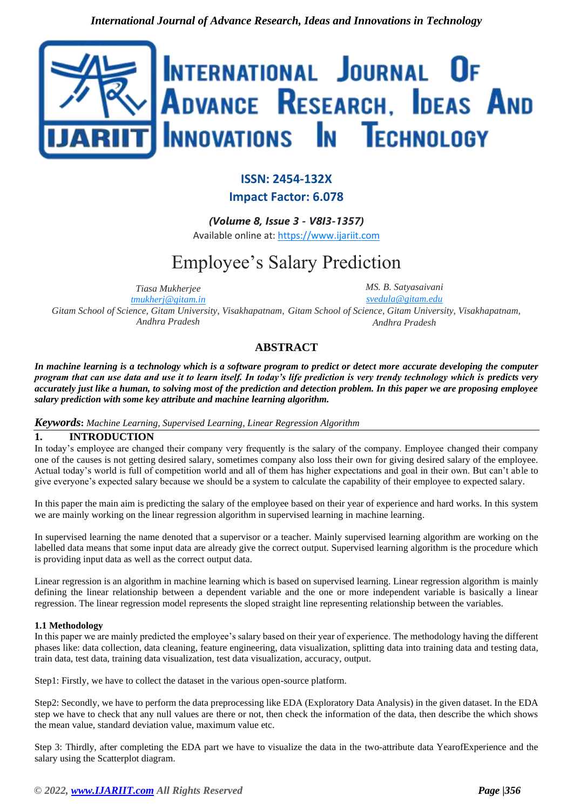

# **ISSN: 2454-132X**

**Impact Factor: 6.078**

*(Volume 8, Issue 3 - V8I3-1357)* Available online at: [https://www.ijariit.com](https://www.ijariit.com/?utm_source=pdf&utm_medium=edition&utm_campaign=OmAkSols&utm_term=V8I3-1357)

# Employee's Salary Prediction

*Tiasa Mukherjee [tmukherj@gitam.in](mailto:tmukherj@gitam.in)* *MS. B. Satyasaivani [svedula@gitam.edu](mailto:svedula@gitam.edu)*

Gitam School of Science, Gitam University, Visakhapatnam, Gitam School of Science, Gitam University, Visakhapatnam, *Andhra Pradesh Andhra Pradesh*

## **ABSTRACT**

*In machine learning is a technology which is a software program to predict or detect more accurate developing the computer program that can use data and use it to learn itself. In today's life prediction is very trendy technology which is predicts very accurately just like a human, to solving most of the prediction and detection problem. In this paper we are proposing employee salary prediction with some key attribute and machine learning algorithm.*

#### *Keywords***:** *Machine Learning, Supervised Learning, Linear Regression Algorithm*

#### **1. INTRODUCTION**

In today's employee are changed their company very frequently is the salary of the company. Employee changed their company one of the causes is not getting desired salary, sometimes company also loss their own for giving desired salary of the employee. Actual today's world is full of competition world and all of them has higher expectations and goal in their own. But can't able to give everyone's expected salary because we should be a system to calculate the capability of their employee to expected salary.

In this paper the main aim is predicting the salary of the employee based on their year of experience and hard works. In this system we are mainly working on the linear regression algorithm in supervised learning in machine learning.

In supervised learning the name denoted that a supervisor or a teacher. Mainly supervised learning algorithm are working on the labelled data means that some input data are already give the correct output. Supervised learning algorithm is the procedure which is providing input data as well as the correct output data.

Linear regression is an algorithm in machine learning which is based on supervised learning. Linear regression algorithm is mainly defining the linear relationship between a dependent variable and the one or more independent variable is basically a linear regression. The linear regression model represents the sloped straight line representing relationship between the variables.

#### **1.1 Methodology**

In this paper we are mainly predicted the employee's salary based on their year of experience. The methodology having the different phases like: data collection, data cleaning, feature engineering, data visualization, splitting data into training data and testing data, train data, test data, training data visualization, test data visualization, accuracy, output.

Step1: Firstly, we have to collect the dataset in the various open-source platform.

Step2: Secondly, we have to perform the data preprocessing like EDA (Exploratory Data Analysis) in the given dataset. In the EDA step we have to check that any null values are there or not, then check the information of the data, then describe the which shows the mean value, standard deviation value, maximum value etc.

Step 3: Thirdly, after completing the EDA part we have to visualize the data in the two-attribute data YearofExperience and the salary using the Scatterplot diagram.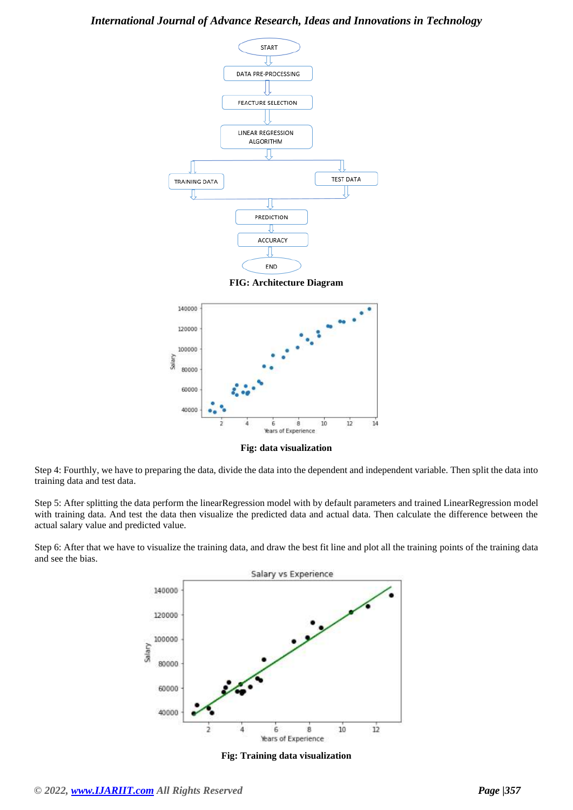#### *International Journal of Advance Research, Ideas and Innovations in Technology*



**Fig: data visualization**

Step 4: Fourthly, we have to preparing the data, divide the data into the dependent and independent variable. Then split the data into training data and test data.

Step 5: After splitting the data perform the linearRegression model with by default parameters and trained LinearRegression model with training data. And test the data then visualize the predicted data and actual data. Then calculate the difference between the actual salary value and predicted value.

Step 6: After that we have to visualize the training data, and draw the best fit line and plot all the training points of the training data and see the bias.



**Fig: Training data visualization**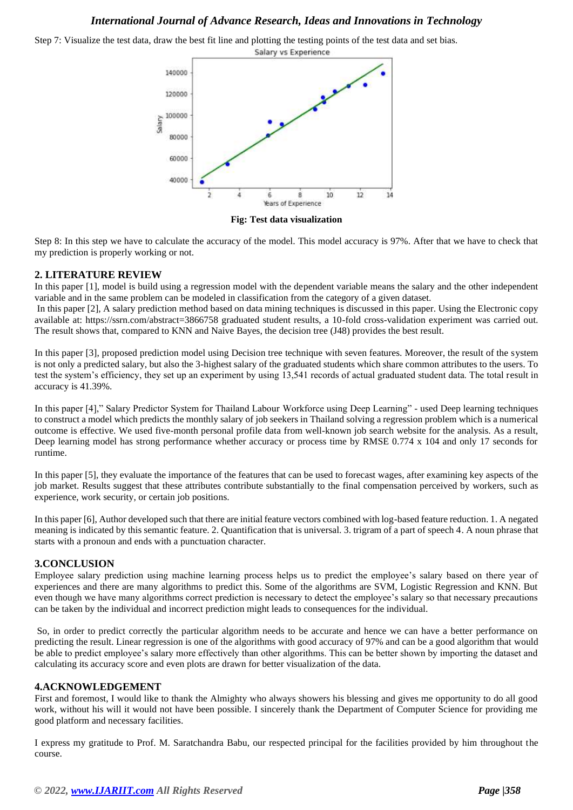Step 7: Visualize the test data, draw the best fit line and plotting the testing points of the test data and set bias.



**Fig: Test data visualization**

Step 8: In this step we have to calculate the accuracy of the model. This model accuracy is 97%. After that we have to check that my prediction is properly working or not.

#### **2. LITERATURE REVIEW**

In this paper [1], model is build using a regression model with the dependent variable means the salary and the other independent variable and in the same problem can be modeled in classification from the category of a given dataset.

In this paper [2], A salary prediction method based on data mining techniques is discussed in this paper. Using the Electronic copy available at: https://ssrn.com/abstract=3866758 graduated student results, a 10-fold cross-validation experiment was carried out. The result shows that, compared to KNN and Naive Bayes, the decision tree (J48) provides the best result.

In this paper [3], proposed prediction model using Decision tree technique with seven features. Moreover, the result of the system is not only a predicted salary, but also the 3-highest salary of the graduated students which share common attributes to the users. To test the system's efficiency, they set up an experiment by using 13,541 records of actual graduated student data. The total result in accuracy is 41.39%.

In this paper [4]," Salary Predictor System for Thailand Labour Workforce using Deep Learning" - used Deep learning techniques to construct a model which predicts the monthly salary of job seekers in Thailand solving a regression problem which is a numerical outcome is effective. We used five-month personal profile data from well-known job search website for the analysis. As a result, Deep learning model has strong performance whether accuracy or process time by RMSE 0.774 x 104 and only 17 seconds for runtime.

In this paper [5], they evaluate the importance of the features that can be used to forecast wages, after examining key aspects of the job market. Results suggest that these attributes contribute substantially to the final compensation perceived by workers, such as experience, work security, or certain job positions.

In this paper [6], Author developed such that there are initial feature vectors combined with log-based feature reduction. 1. A negated meaning is indicated by this semantic feature. 2. Quantification that is universal. 3. trigram of a part of speech 4. A noun phrase that starts with a pronoun and ends with a punctuation character.

#### **3.CONCLUSION**

Employee salary prediction using machine learning process helps us to predict the employee's salary based on there year of experiences and there are many algorithms to predict this. Some of the algorithms are SVM, Logistic Regression and KNN. But even though we have many algorithms correct prediction is necessary to detect the employee's salary so that necessary precautions can be taken by the individual and incorrect prediction might leads to consequences for the individual.

So, in order to predict correctly the particular algorithm needs to be accurate and hence we can have a better performance on predicting the result. Linear regression is one of the algorithms with good accuracy of 97% and can be a good algorithm that would be able to predict employee's salary more effectively than other algorithms. This can be better shown by importing the dataset and calculating its accuracy score and even plots are drawn for better visualization of the data.

#### **4.ACKNOWLEDGEMENT**

First and foremost, I would like to thank the Almighty who always showers his blessing and gives me opportunity to do all good work, without his will it would not have been possible. I sincerely thank the Department of Computer Science for providing me good platform and necessary facilities.

I express my gratitude to Prof. M. Saratchandra Babu, our respected principal for the facilities provided by him throughout the course.